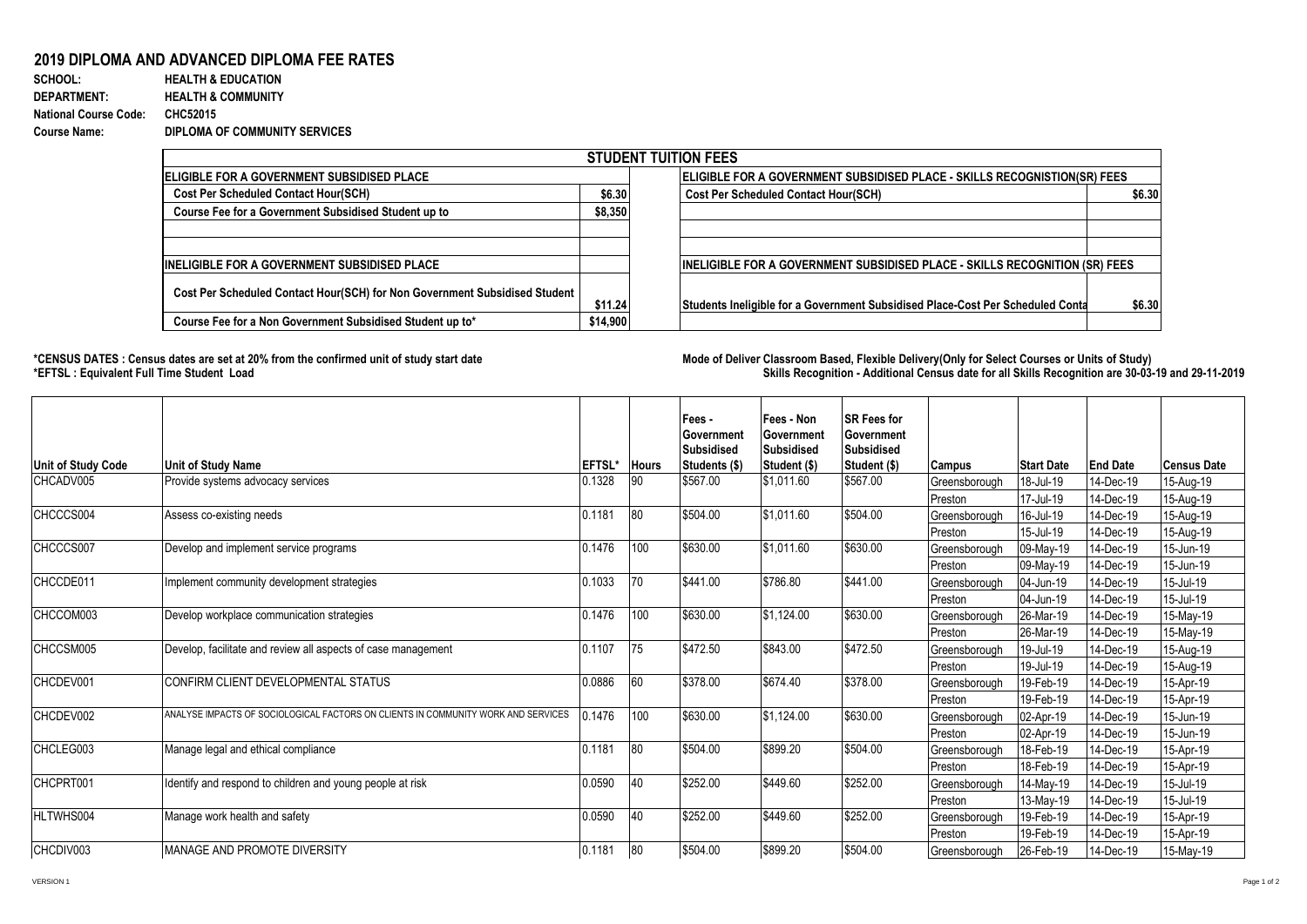## **2019 DIPLOMA AND ADVANCED DIPLOMA FEE RATES**

| SCHOOL:                      | <b>HEALTH &amp; EDUCATION</b> |
|------------------------------|-------------------------------|
| <b>DEPARTMENT:</b>           | <b>HEALTH &amp; COMMUNITY</b> |
| <b>National Course Code:</b> | CHC52015                      |
| <b>Course Name:</b>          | DIPLOMA OF COMMUNITY SERVICES |

| <b>STUDENT TUITION FEES</b>                                                |          |                                                                                  |        |  |  |  |  |  |
|----------------------------------------------------------------------------|----------|----------------------------------------------------------------------------------|--------|--|--|--|--|--|
| <b>IELIGIBLE FOR A GOVERNMENT SUBSIDISED PLACE</b>                         |          | <b>ELIGIBLE FOR A GOVERNMENT SUBSIDISED PLACE - SKILLS RECOGNISTION(SR) FEES</b> |        |  |  |  |  |  |
| <b>Cost Per Scheduled Contact Hour(SCH)</b>                                |          | \$6.30<br><b>Cost Per Scheduled Contact Hour(SCH)</b>                            | \$6.30 |  |  |  |  |  |
| Course Fee for a Government Subsidised Student up to                       | \$8,350  |                                                                                  |        |  |  |  |  |  |
|                                                                            |          |                                                                                  |        |  |  |  |  |  |
|                                                                            |          |                                                                                  |        |  |  |  |  |  |
| <b>IINELIGIBLE FOR A GOVERNMENT SUBSIDISED PLACE</b>                       |          | INELIGIBLE FOR A GOVERNMENT SUBSIDISED PLACE - SKILLS RECOGNITION (SR) FEES      |        |  |  |  |  |  |
| Cost Per Scheduled Contact Hour(SCH) for Non Government Subsidised Student | \$11.24  | Students Ineligible for a Government Subsidised Place-Cost Per Scheduled Conta   | \$6.30 |  |  |  |  |  |
| Course Fee for a Non Government Subsidised Student up to*                  | \$14,900 |                                                                                  |        |  |  |  |  |  |

**\*CENSUS DATES : Census dates are set at 20% from the confirmed unit of study start date Mode of Delivery:Classroom Based, Flexible Delivery(Only for Select Courses or Units of Study) \*EFTSL : Equivalent Full Time Student Load Skills Recognition - Additional Census date for all Skills Recognition are 30-03-19 and 29-11-2019** 

|                    |                                                                                   |        |              | Fees -<br>Government<br>Subsidised | Fees - Non<br>Government<br><b>Subsidised</b> | <b>SR Fees for</b><br>Government<br><b>Subsidised</b> |               |                   |                 |                    |
|--------------------|-----------------------------------------------------------------------------------|--------|--------------|------------------------------------|-----------------------------------------------|-------------------------------------------------------|---------------|-------------------|-----------------|--------------------|
| Unit of Study Code | <b>Unit of Study Name</b>                                                         | EFTSL* | <b>Hours</b> | Students (\$)                      | Student (\$)                                  | Student (\$)                                          | <b>Campus</b> | <b>Start Date</b> | <b>End Date</b> | <b>Census Date</b> |
| CHCADV005          | Provide systems advocacy services                                                 | 0.1328 | 90           | \$567.00                           | \$1,011.60                                    | \$567.00                                              | Greensborough | 18-Jul-19         | 14-Dec-19       | 15-Aug-19          |
|                    |                                                                                   |        |              |                                    |                                               |                                                       | Preston       | 17-Jul-19         | 14-Dec-19       | 15-Aug-19          |
| CHCCCS004          | Assess co-existing needs                                                          | 0.1181 | 80           | \$504.00                           | \$1,011.60                                    | \$504.00                                              | Greensborough | 16-Jul-19         | 14-Dec-19       | 15-Aug-19          |
|                    |                                                                                   |        |              |                                    |                                               |                                                       | Preston       | 15-Jul-19         | 14-Dec-19       | 15-Aug-19          |
| CHCCCS007          | Develop and implement service programs                                            | 0.1476 | 100          | \$630.00                           | \$1,011.60                                    | \$630.00                                              | Greensborough | 09-May-19         | 14-Dec-19       | 15-Jun-19          |
|                    |                                                                                   |        |              |                                    |                                               |                                                       | Preston       | 09-May-19         | 14-Dec-19       | 15-Jun-19          |
| CHCCDE011          | Implement community development strategies                                        | 0.1033 | 70           | \$441.00                           | \$786.80                                      | \$441.00                                              | Greensborough | 04-Jun-19         | 14-Dec-19       | 15-Jul-19          |
|                    |                                                                                   |        |              |                                    |                                               |                                                       | Preston       | 04-Jun-19         | 14-Dec-19       | 15-Jul-19          |
| CHCCOM003          | Develop workplace communication strategies                                        | 0.1476 | 100          | \$630.00                           | \$1,124.00                                    | \$630.00                                              | Greensborough | 26-Mar-19         | 14-Dec-19       | 15-May-19          |
|                    |                                                                                   |        |              |                                    |                                               |                                                       | Preston       | 26-Mar-19         | 14-Dec-19       | 15-May-19          |
| CHCCSM005          | Develop, facilitate and review all aspects of case management                     | 0.1107 | 75           | \$472.50                           | \$843.00                                      | \$472.50                                              | Greensborough | 19-Jul-19         | 14-Dec-19       | 15-Aug-19          |
|                    |                                                                                   |        |              |                                    |                                               |                                                       | Preston       | 19-Jul-19         | 14-Dec-19       | 15-Aug-19          |
| CHCDEV001          | CONFIRM CLIENT DEVELOPMENTAL STATUS                                               | 0.0886 | 60           | \$378.00                           | \$674.40                                      | \$378.00                                              | Greensborough | 19-Feb-19         | 14-Dec-19       | 15-Apr-19          |
|                    |                                                                                   |        |              |                                    |                                               |                                                       | Preston       | 19-Feb-19         | 14-Dec-19       | 15-Apr-19          |
| CHCDEV002          | ANALYSE IMPACTS OF SOCIOLOGICAL FACTORS ON CLIENTS IN COMMUNITY WORK AND SERVICES | 0.1476 | 100          | \$630.00                           | \$1,124.00                                    | \$630.00                                              | Greensborough | 02-Apr-19         | 14-Dec-19       | 15-Jun-19          |
|                    |                                                                                   |        |              |                                    |                                               |                                                       | Preston       | 02-Apr-19         | 14-Dec-19       | 15-Jun-19          |
| CHCLEG003          | Manage legal and ethical compliance                                               | 0.1181 | 80           | \$504.00                           | \$899.20                                      | \$504.00                                              | Greensborough | 18-Feb-19         | 14-Dec-19       | 15-Apr-19          |
|                    |                                                                                   |        |              |                                    |                                               |                                                       | Preston       | 18-Feb-19         | 14-Dec-19       | 15-Apr-19          |
| CHCPRT001          | Identify and respond to children and young people at risk                         | 0.0590 | 40           | \$252.00                           | \$449.60                                      | \$252.00                                              | Greensborough | 14-May-19         | 14-Dec-19       | 15-Jul-19          |
|                    |                                                                                   |        |              |                                    |                                               |                                                       | Preston       | 13-May-19         | 14-Dec-19       | 15-Jul-19          |
| <b>HLTWHS004</b>   | Manage work health and safety                                                     | 0.0590 | 40           | \$252.00                           | \$449.60                                      | \$252.00                                              | Greensborough | 19-Feb-19         | 14-Dec-19       | 15-Apr-19          |
|                    |                                                                                   |        |              |                                    |                                               |                                                       | Preston       | 19-Feb-19         | 14-Dec-19       | 15-Apr-19          |
| CHCDIV003          | MANAGE AND PROMOTE DIVERSITY                                                      | 0.1181 | 80           | \$504.00                           | \$899.20                                      | \$504.00                                              | Greensborough | 26-Feb-19         | 14-Dec-19       | 15-May-19          |